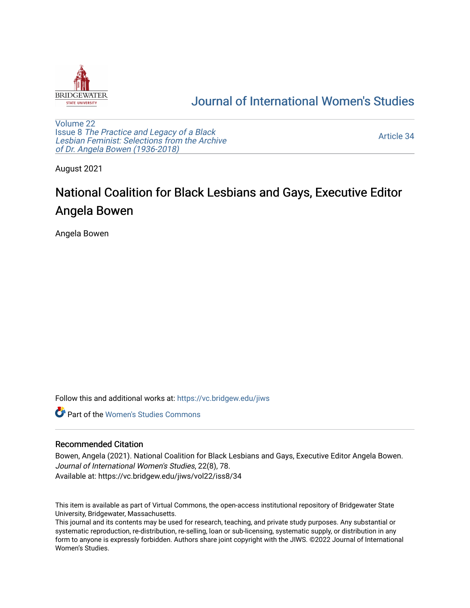

## [Journal of International Women's Studies](https://vc.bridgew.edu/jiws)

[Volume 22](https://vc.bridgew.edu/jiws/vol22) Issue 8 [The Practice and Legacy of a Black](https://vc.bridgew.edu/jiws/vol22/iss8)  [Lesbian Feminist: Selections from the Archive](https://vc.bridgew.edu/jiws/vol22/iss8)  [of Dr. Angela Bowen \(1936-2018\)](https://vc.bridgew.edu/jiws/vol22/iss8)

[Article 34](https://vc.bridgew.edu/jiws/vol22/iss8/34) 

August 2021

## National Coalition for Black Lesbians and Gays, Executive Editor Angela Bowen

Angela Bowen

Follow this and additional works at: [https://vc.bridgew.edu/jiws](https://vc.bridgew.edu/jiws?utm_source=vc.bridgew.edu%2Fjiws%2Fvol22%2Fiss8%2F34&utm_medium=PDF&utm_campaign=PDFCoverPages)

**C** Part of the Women's Studies Commons

## Recommended Citation

Bowen, Angela (2021). National Coalition for Black Lesbians and Gays, Executive Editor Angela Bowen. Journal of International Women's Studies, 22(8), 78. Available at: https://vc.bridgew.edu/jiws/vol22/iss8/34

This item is available as part of Virtual Commons, the open-access institutional repository of Bridgewater State University, Bridgewater, Massachusetts.

This journal and its contents may be used for research, teaching, and private study purposes. Any substantial or systematic reproduction, re-distribution, re-selling, loan or sub-licensing, systematic supply, or distribution in any form to anyone is expressly forbidden. Authors share joint copyright with the JIWS. ©2022 Journal of International Women's Studies.